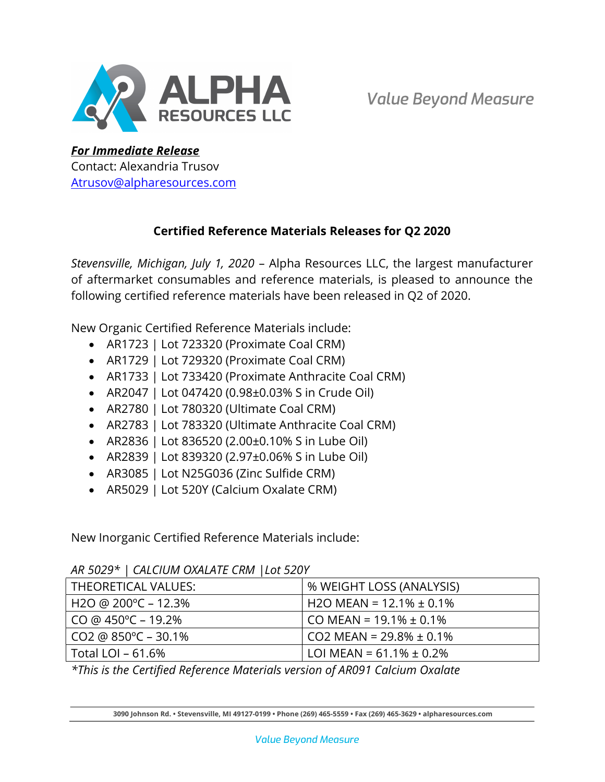

For Immediate Release Contact: Alexandria Trusov Atrusov@alpharesources.com

# Certified Reference Materials Releases for Q2 2020

Stevensville, Michigan, July 1, 2020 – Alpha Resources LLC, the largest manufacturer of aftermarket consumables and reference materials, is pleased to announce the following certified reference materials have been released in Q2 of 2020.

New Organic Certified Reference Materials include:

- AR1723 | Lot 723320 (Proximate Coal CRM)
- AR1729 | Lot 729320 (Proximate Coal CRM)
- AR1733 | Lot 733420 (Proximate Anthracite Coal CRM)
- AR2047 | Lot 047420 (0.98±0.03% S in Crude Oil)
- AR2780 | Lot 780320 (Ultimate Coal CRM)
- AR2783 | Lot 783320 (Ultimate Anthracite Coal CRM)
- AR2836 | Lot 836520 (2.00±0.10% S in Lube Oil)
- AR2839 | Lot 839320 (2.97±0.06% S in Lube Oil)
- AR3085 | Lot N25G036 (Zinc Sulfide CRM)
- AR5029 | Lot 520Y (Calcium Oxalate CRM)

New Inorganic Certified Reference Materials include:

| AN JUZY   CALCIUM UMALATE CNM   LUI JZUT |                               |
|------------------------------------------|-------------------------------|
| THEORETICAL VALUES:                      | % WEIGHT LOSS (ANALYSIS)      |
| H2O @ 200°C – 12.3%                      | H2O MEAN = $12.1\% \pm 0.1\%$ |
| $CO @ 450^{\circ}C - 19.2\%$             | CO MEAN = $19.1\% \pm 0.1\%$  |
| $CO2 @ 850^{\circ}C - 30.1\%$            | $CO2$ MEAN = 29.8% $\pm$ 0.1% |
| Total LOI – 61.6%                        | LOI MEAN = $61.1\% \pm 0.2\%$ |

## AR 5029\* | CALCIUM OXALATE CRM |Lot 520Y

\*This is the Certified Reference Materials version of AR091 Calcium Oxalate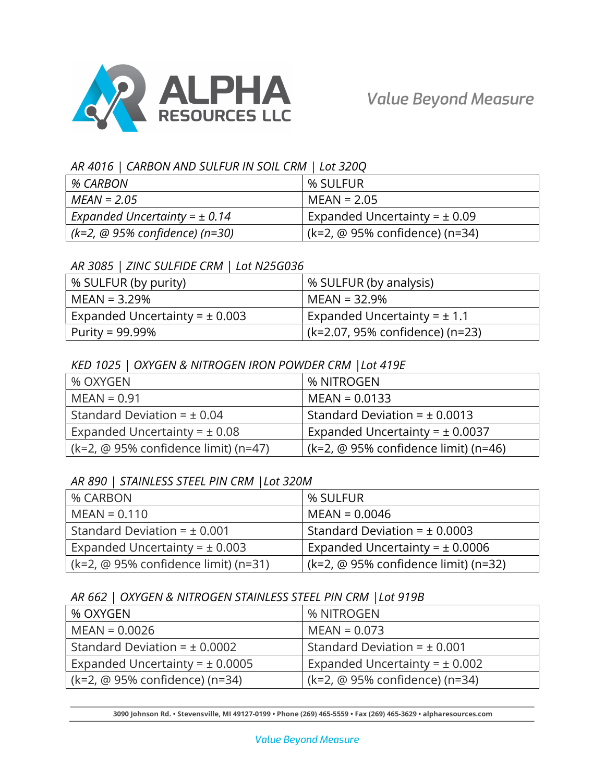

#### AR 4016 | CARBON AND SULFUR IN SOIL CRM | Lot 320Q

| % CARBON                          | % SULFUR                          |
|-----------------------------------|-----------------------------------|
| $MEAN = 2.05$                     | $MEAN = 2.05$                     |
| Expanded Uncertainty = $\pm$ 0.14 | Expanded Uncertainty = $\pm$ 0.09 |
| (k=2, @ 95% confidence) (n=30)    | (k=2, @ 95% confidence) (n=34)    |

#### AR 3085 | ZINC SULFIDE CRM | Lot N25G036

| % SULFUR (by purity)               | % SULFUR (by analysis)           |
|------------------------------------|----------------------------------|
| MEAN = 3.29%                       | $MEAN = 32.9\%$                  |
| Expanded Uncertainty = $\pm$ 0.003 | Expanded Uncertainty = $\pm$ 1.1 |
| Purity = 99.99%                    | (k=2.07, 95% confidence) (n=23)  |

### KED 1025 | OXYGEN & NITROGEN IRON POWDER CRM |Lot 419E

| % OXYGEN                             | % NITROGEN                           |
|--------------------------------------|--------------------------------------|
| $MEAN = 0.91$                        | $MEAN = 0.0133$                      |
| Standard Deviation = $\pm$ 0.04      | Standard Deviation = $\pm$ 0.0013    |
| Expanded Uncertainty = $\pm$ 0.08    | Expanded Uncertainty = $\pm$ 0.0037  |
| (k=2, @ 95% confidence limit) (n=47) | (k=2, @ 95% confidence limit) (n=46) |

### AR 890 | STAINLESS STEEL PIN CRM |Lot 320M

| % CARBON                             | % SULFUR                                                       |
|--------------------------------------|----------------------------------------------------------------|
| $MEAN = 0.110$                       | $MEAN = 0.0046$                                                |
| Standard Deviation = $\pm$ 0.001     | Standard Deviation = $\pm$ 0.0003                              |
| Expanded Uncertainty = $\pm$ 0.003   | Expanded Uncertainty = $\pm$ 0.0006                            |
| (k=2, @ 95% confidence limit) (n=31) | $(k=2, \text{ } \textcircled{e} 95\%$ confidence limit) (n=32) |

### AR 662 | OXYGEN & NITROGEN STAINLESS STEEL PIN CRM |Lot 919B

| % OXYGEN                            | % NITROGEN                         |
|-------------------------------------|------------------------------------|
| $MEAN = 0.0026$                     | $MEAN = 0.073$                     |
| Standard Deviation = $\pm$ 0.0002   | Standard Deviation = $\pm$ 0.001   |
| Expanded Uncertainty = $\pm$ 0.0005 | Expanded Uncertainty = $\pm$ 0.002 |
| (k=2, @ 95% confidence) (n=34)      | (k=2, @ 95% confidence) (n=34)     |

3090 Johnson Rd. • Stevensville, MI 49127-0199 • Phone (269) 465-5559 • Fax (269) 465-3629 • alpharesources.com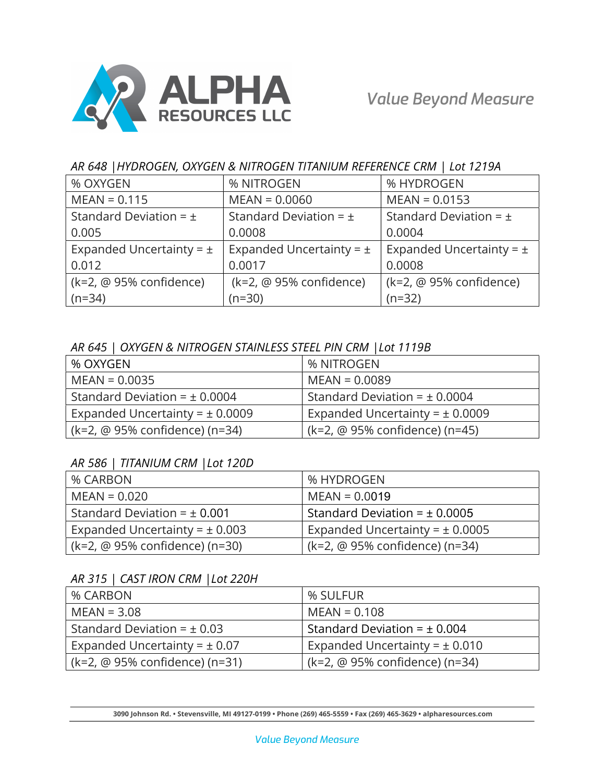

### AR 648 |HYDROGEN, OXYGEN & NITROGEN TITANIUM REFERENCE CRM | Lot 1219A

| % OXYGEN                            | % NITROGEN                   | % HYDROGEN                          |
|-------------------------------------|------------------------------|-------------------------------------|
| $MEAN = 0.115$                      | $MEAN = 0.0060$              | $MEAN = 0.0153$                     |
| Standard Deviation = $\pm$          | Standard Deviation = $\pm$   | Standard Deviation = $\pm$          |
| 0.005                               | 0.0008                       | 0.0004                              |
| Expanded Uncertainty = $\pm$        | Expanded Uncertainty = $\pm$ | Expanded Uncertainty = $\pm$        |
| 0.012                               | 0.0017                       | 0.0008                              |
| $(k=2, \text{ @ } 95\%$ confidence) | (k=2, @ 95% confidence)      | $(k=2, \text{ @ } 95\%$ confidence) |
| $(n=34)$                            | $(n=30)$                     | $(n=32)$                            |

### AR 645 | OXYGEN & NITROGEN STAINLESS STEEL PIN CRM |Lot 1119B

| % OXYGEN                            | % NITROGEN                          |
|-------------------------------------|-------------------------------------|
| $MEAN = 0.0035$                     | $MEAN = 0.0089$                     |
| Standard Deviation = $\pm$ 0.0004   | Standard Deviation = $\pm$ 0.0004   |
| Expanded Uncertainty = $\pm$ 0.0009 | Expanded Uncertainty = $\pm$ 0.0009 |
| (k=2, @ 95% confidence) (n=34)      | (k=2, @ 95% confidence) (n=45)      |

## AR 586 | TITANIUM CRM |Lot 120D

| % CARBON                           | % HYDROGEN                                |
|------------------------------------|-------------------------------------------|
| $MEAN = 0.020$                     | $MEAN = 0.0019$                           |
| Standard Deviation = $\pm$ 0.001   | Standard Deviation = $\pm$ 0.0005         |
| Expanded Uncertainty = $\pm$ 0.003 | Expanded Uncertainty = $\pm$ 0.0005       |
| (k=2, @ 95% confidence) (n=30)     | $(k=2, \text{ @ }95\%$ confidence) (n=34) |

## AR 315 | CAST IRON CRM |Lot 220H

| % CARBON                          | % SULFUR                           |
|-----------------------------------|------------------------------------|
| $MEAN = 3.08$                     | $MEAN = 0.108$                     |
| Standard Deviation = $\pm$ 0.03   | Standard Deviation = $\pm$ 0.004   |
| Expanded Uncertainty = $\pm$ 0.07 | Expanded Uncertainty = $\pm$ 0.010 |
| (k=2, @ 95% confidence) (n=31)    | (k=2, @ 95% confidence) (n=34)     |

3090 Johnson Rd. • Stevensville, MI 49127-0199 • Phone (269) 465-5559 • Fax (269) 465-3629 • alpharesources.com